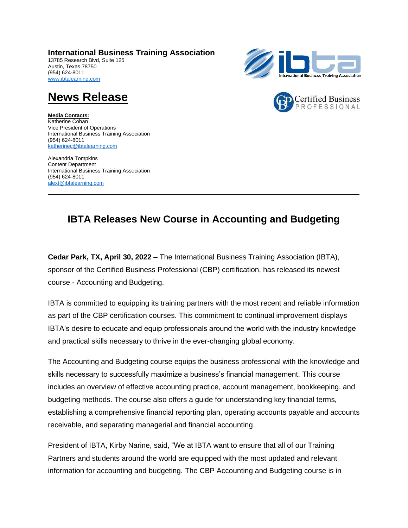**International Business Training Association**  13785 Research Blvd, Suite 125 Austin, Texas 78750 (954) 624-8011 [www.ibtalearning.com](http://www.ibtalearning.com/)





## **News Release**

**Media Contacts:** Katherine Cohan Vice President of Operations International Business Training Association (954) 624-8011 [katherinec@ibtalearning.com](mailto:kirbynarine@ibtalearning.com)

Alexandria Tompkins Content Department International Business Training Association (954) 624-8011 [alext@ibtalearning.com](mailto:alext@ibtalearning.com)

## **IBTA Releases New Course in Accounting and Budgeting**

**Cedar Park, TX, April 30, 2022** – The International Business Training Association (IBTA), sponsor of the Certified Business Professional (CBP) certification, has released its newest course - Accounting and Budgeting.

IBTA is committed to equipping its training partners with the most recent and reliable information as part of the CBP certification courses. This commitment to continual improvement displays IBTA's desire to educate and equip professionals around the world with the industry knowledge and practical skills necessary to thrive in the ever-changing global economy.

The Accounting and Budgeting course equips the business professional with the knowledge and skills necessary to successfully maximize a business's financial management. This course includes an overview of effective accounting practice, account management, bookkeeping, and budgeting methods. The course also offers a guide for understanding key financial terms, establishing a comprehensive financial reporting plan, operating accounts payable and accounts receivable, and separating managerial and financial accounting.

President of IBTA, Kirby Narine, said, "We at IBTA want to ensure that all of our Training Partners and students around the world are equipped with the most updated and relevant information for accounting and budgeting. The CBP Accounting and Budgeting course is in